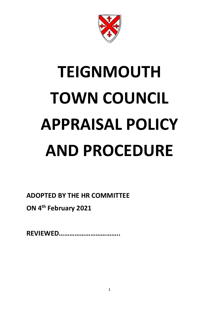

# **TEIGNMOUTH TOWN COUNCIL APPRAISAL POLICY AND PROCEDURE**

**ADOPTED BY THE HR COMMITTEE** 

**ON 4th February 2021**

**REVIEWED……………………………..**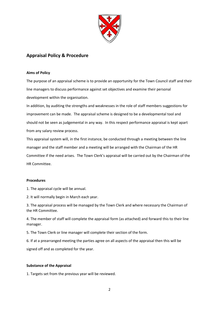

### **Appraisal Policy & Procedure**

#### **Aims of Policy**

The purpose of an appraisal scheme is to provide an opportunity for the Town Council staff and their line managers to discuss performance against set objectives and examine their personal development within the organisation.

In addition, by auditing the strengths and weaknesses in the role of staff members suggestions for improvement can be made. The appraisal scheme is designed to be a developmental tool and should not be seen as judgemental in any way. In this respect performance appraisal is kept apart from any salary review process.

This appraisal system will, in the first instance, be conducted through a meeting between the line manager and the staff member and a meeting will be arranged with the Chairman of the HR Committee if the need arises. The Town Clerk's appraisal will be carried out by the Chairman of the HR Committee.

#### **Procedures**

1. The appraisal cycle will be annual.

2. It will normally begin in March each year.

3. The appraisal process will be managed by the Town Clerk and where necessary the Chairman of the HR Committee.

4. The member of staff will complete the appraisal form (as attached) and forward this to their line manager.

5. The Town Clerk or line manager will complete their section of the form.

6. If at a prearranged meeting the parties agree on all aspects of the appraisal then this will be

signed off and as completed for the year.

#### **Substance of the Appraisal**

1. Targets set from the previous year will be reviewed.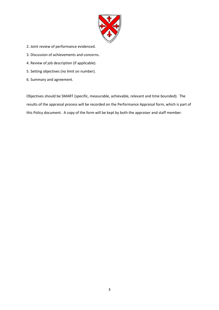

- 2. Joint review of performance evidenced.
- 3. Discussion of achievements and concerns.
- 4. Review of job description (if applicable).
- 5. Setting objectives (no limit on number).
- 6. Summary and agreement.

Objectives should be SMART (specific, measurable, achievable, relevant and time bounded). The results of the appraisal process will be recorded on the Performance Appraisal form, which is part of this Policy document. A copy of the form will be kept by both the appraiser and staff member.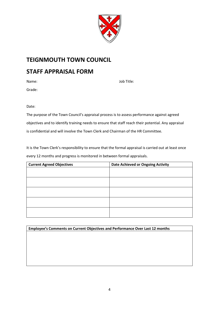

## **TEIGNMOUTH TOWN COUNCIL**

## **STAFF APPRAISAL FORM**

Grade:

Name: Job Title:

Date:

The purpose of the Town Council's appraisal process is to assess performance against agreed objectives and to identify training needs to ensure that staff reach their potential. Any appraisal is confidential and will involve the Town Clerk and Chairman of the HR Committee.

It is the Town Clerk's responsibility to ensure that the formal appraisal is carried out at least once every 12 months and progress is monitored in between formal appraisals.

| <b>Current Agreed Objectives</b> | <b>Date Achieved or Ongoing Activity</b> |  |  |
|----------------------------------|------------------------------------------|--|--|
|                                  |                                          |  |  |
|                                  |                                          |  |  |
|                                  |                                          |  |  |
|                                  |                                          |  |  |
|                                  |                                          |  |  |
|                                  |                                          |  |  |
|                                  |                                          |  |  |
|                                  |                                          |  |  |
|                                  |                                          |  |  |
|                                  |                                          |  |  |

**Employee's Comments on Current Objectives and Performance Over Last 12 months**